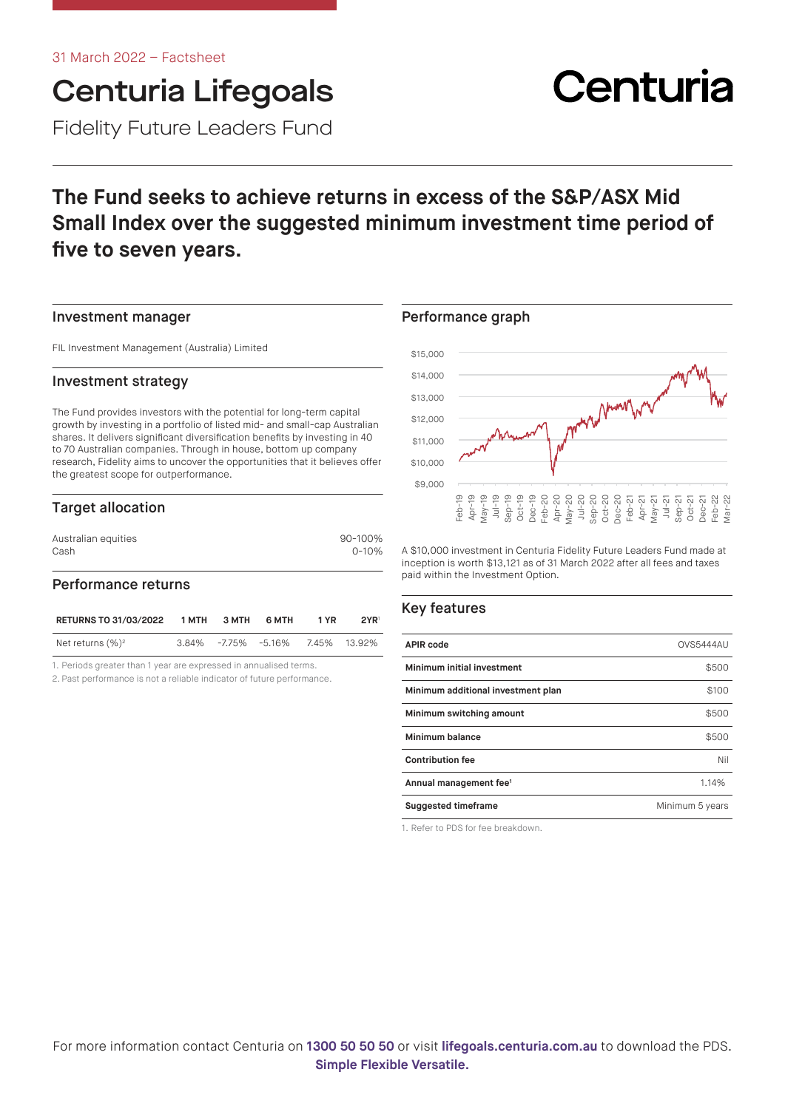## Centuria Lifegoals Fidelity Future Leaders Fund

# Centuria

## **The Fund seeks to achieve returns in excess of the S&P/ASX Mid Small Index over the suggested minimum investment time period of five to seven years.**

#### Investment manager

FIL Investment Management (Australia) Limited

#### Investment strategy

The Fund provides investors with the potential for long-term capital growth by investing in a portfolio of listed mid- and small-cap Australian shares. It delivers significant diversification benefits by investing in 40 to 70 Australian companies. Through in house, bottom up company research, Fidelity aims to uncover the opportunities that it believes offer the greatest scope for outperformance.

#### Target allocation

| Australian equities | 90-100%   |
|---------------------|-----------|
| Cash                | $0 - 10%$ |
|                     |           |

#### Performance returns

| <b>RETURNS TO 31/03/2022</b> | 1 MTH | З МТН | 6 MTH                            | 1 YR | 2YR <sup>1</sup> |
|------------------------------|-------|-------|----------------------------------|------|------------------|
| Net returns $(\%)^2$         |       |       | 3.84% -7.75% -5.16% 7.45% 13.92% |      |                  |

1. Periods greater than 1 year are expressed in annualised terms.

2. Past performance is not a reliable indicator of future performance.

#### Performance graph



A \$10,000 investment in Centuria Fidelity Future Leaders Fund made at inception is worth \$13,121 as of 31 March 2022 after all fees and taxes paid within the Investment Option.

#### Key features

| <b>APIR code</b>                   | <b>OVS5444AU</b> |
|------------------------------------|------------------|
| Minimum initial investment         | \$500            |
| Minimum additional investment plan | \$100            |
| Minimum switching amount           | \$500            |
| Minimum balance                    | \$500            |
| <b>Contribution fee</b>            | Nil              |
| Annual management fee <sup>1</sup> | 1.14%            |
| <b>Suggested timeframe</b>         | Minimum 5 years  |

1. Refer to PDS for fee breakdown.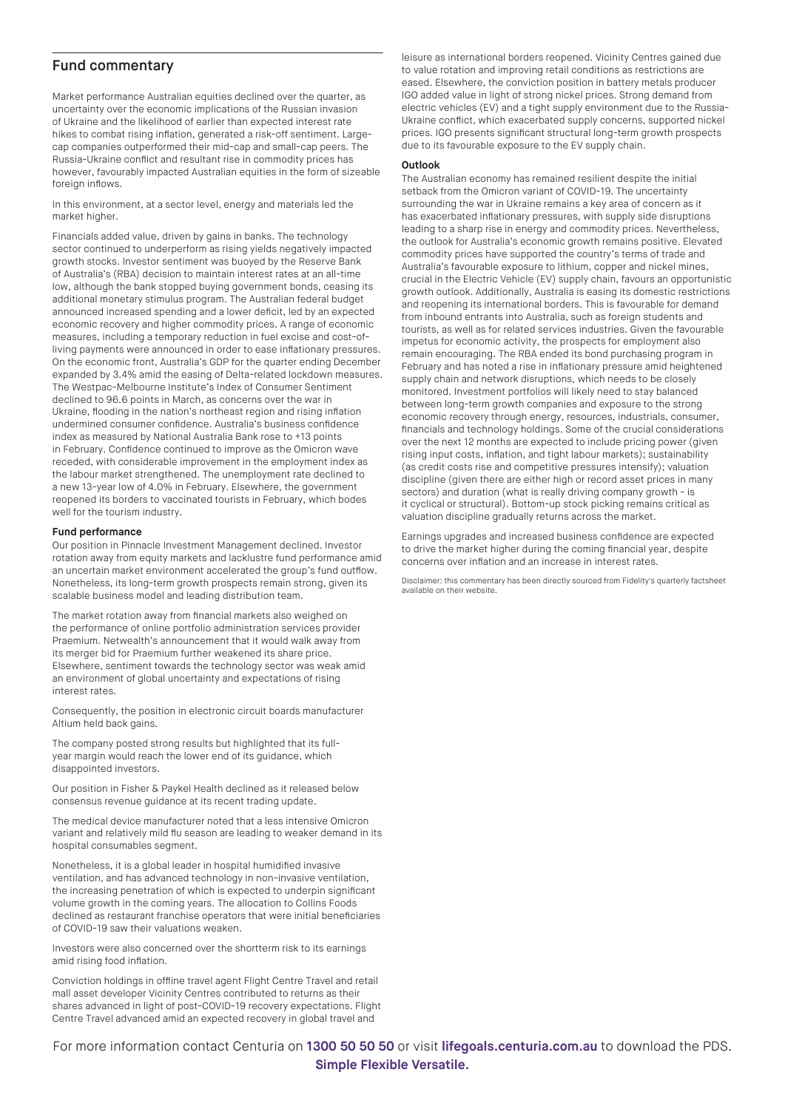#### Fund commentary

Market performance Australian equities declined over the quarter, as uncertainty over the economic implications of the Russian invasion of Ukraine and the likelihood of earlier than expected interest rate hikes to combat rising inflation, generated a risk-off sentiment. Largecap companies outperformed their mid-cap and small-cap peers. The Russia-Ukraine conflict and resultant rise in commodity prices has however, favourably impacted Australian equities in the form of sizeable foreign inflows.

In this environment, at a sector level, energy and materials led the market higher.

Financials added value, driven by gains in banks. The technology sector continued to underperform as rising yields negatively impacted growth stocks. Investor sentiment was buoyed by the Reserve Bank of Australia's (RBA) decision to maintain interest rates at an all-time low, although the bank stopped buying government bonds, ceasing its additional monetary stimulus program. The Australian federal budget announced increased spending and a lower deficit, led by an expected economic recovery and higher commodity prices. A range of economic measures, including a temporary reduction in fuel excise and cost-ofliving payments were announced in order to ease inflationary pressures. On the economic front, Australia's GDP for the quarter ending December expanded by 3.4% amid the easing of Delta-related lockdown measures. The Westpac-Melbourne Institute's Index of Consumer Sentiment declined to 96.6 points in March, as concerns over the war in Ukraine, flooding in the nation's northeast region and rising inflation undermined consumer confidence. Australia's business confidence index as measured by National Australia Bank rose to +13 points in February. Confidence continued to improve as the Omicron wave receded, with considerable improvement in the employment index as the labour market strengthened. The unemployment rate declined to a new 13-year low of 4.0% in February. Elsewhere, the government reopened its borders to vaccinated tourists in February, which bodes well for the tourism industry.

#### **Fund performance**

Our position in Pinnacle Investment Management declined. Investor rotation away from equity markets and lacklustre fund performance amid an uncertain market environment accelerated the group's fund outflow. Nonetheless, its long-term growth prospects remain strong, given its scalable business model and leading distribution team.

The market rotation away from financial markets also weighed on the performance of online portfolio administration services provider Praemium. Netwealth's announcement that it would walk away from its merger bid for Praemium further weakened its share price. Elsewhere, sentiment towards the technology sector was weak amid an environment of global uncertainty and expectations of rising interest rates.

Consequently, the position in electronic circuit boards manufacturer Altium held back gains.

The company posted strong results but highlighted that its fullyear margin would reach the lower end of its guidance, which disappointed investors.

Our position in Fisher & Paykel Health declined as it released below consensus revenue guidance at its recent trading update.

The medical device manufacturer noted that a less intensive Omicron variant and relatively mild flu season are leading to weaker demand in its hospital consumables segment.

Nonetheless, it is a global leader in hospital humidified invasive ventilation, and has advanced technology in non-invasive ventilation, the increasing penetration of which is expected to underpin significant volume growth in the coming years. The allocation to Collins Foods declined as restaurant franchise operators that were initial beneficiaries of COVID-19 saw their valuations weaken.

Investors were also concerned over the shortterm risk to its earnings amid rising food inflation.

Conviction holdings in offline travel agent Flight Centre Travel and retail mall asset developer Vicinity Centres contributed to returns as their shares advanced in light of post-COVID-19 recovery expectations. Flight Centre Travel advanced amid an expected recovery in global travel and

leisure as international borders reopened. Vicinity Centres gained due to value rotation and improving retail conditions as restrictions are eased. Elsewhere, the conviction position in battery metals producer IGO added value in light of strong nickel prices. Strong demand from electric vehicles (EV) and a tight supply environment due to the Russia-Ukraine conflict, which exacerbated supply concerns, supported nickel prices. IGO presents significant structural long-term growth prospects due to its favourable exposure to the EV supply chain.

#### **Outlook**

The Australian economy has remained resilient despite the initial setback from the Omicron variant of COVID-19. The uncertainty surrounding the war in Ukraine remains a key area of concern as it has exacerbated inflationary pressures, with supply side disruptions leading to a sharp rise in energy and commodity prices. Nevertheless, the outlook for Australia's economic growth remains positive. Elevated commodity prices have supported the country's terms of trade and Australia's favourable exposure to lithium, copper and nickel mines, crucial in the Electric Vehicle (EV) supply chain, favours an opportunistic growth outlook. Additionally, Australia is easing its domestic restrictions and reopening its international borders. This is favourable for demand from inbound entrants into Australia, such as foreign students and tourists, as well as for related services industries. Given the favourable impetus for economic activity, the prospects for employment also remain encouraging. The RBA ended its bond purchasing program in February and has noted a rise in inflationary pressure amid heightened supply chain and network disruptions, which needs to be closely monitored. Investment portfolios will likely need to stay balanced between long-term growth companies and exposure to the strong economic recovery through energy, resources, industrials, consumer, financials and technology holdings. Some of the crucial considerations over the next 12 months are expected to include pricing power (given rising input costs, inflation, and tight labour markets); sustainability (as credit costs rise and competitive pressures intensify); valuation discipline (given there are either high or record asset prices in many sectors) and duration (what is really driving company growth - is it cyclical or structural). Bottom-up stock picking remains critical as valuation discipline gradually returns across the market.

Earnings upgrades and increased business confidence are expected to drive the market higher during the coming financial year, despite concerns over inflation and an increase in interest rates.

Disclaimer: this commentary has been directly sourced from Fidelity's quarterly factsheet available on their website.

For more information contact Centuria on **1300 50 50 50** or visit **[lifegoals.centuria.com.au](https://lifegoals.centuria.com.au)** to download the PDS. **Simple Flexible Versatile.**